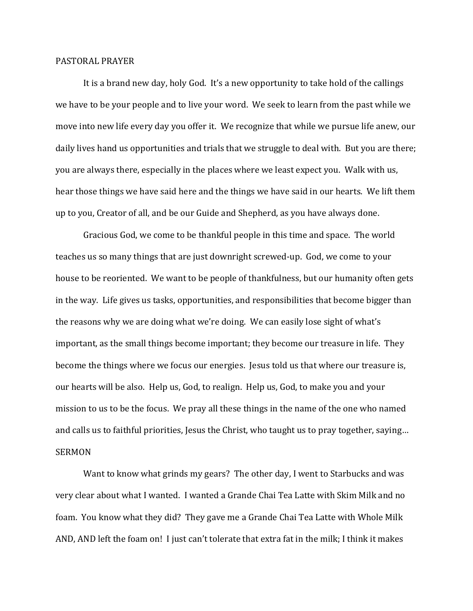## PASTORAL PRAYER

 It is a brand new day, holy God. It's a new opportunity to take hold of the callings we have to be your people and to live your word. We seek to learn from the past while we move into new life every day you offer it. We recognize that while we pursue life anew, our daily lives hand us opportunities and trials that we struggle to deal with. But you are there; you are always there, especially in the places where we least expect you. Walk with us, hear those things we have said here and the things we have said in our hearts. We lift them up to you, Creator of all, and be our Guide and Shepherd, as you have always done.

 Gracious God, we come to be thankful people in this time and space. The world teaches us so many things that are just downright screwed-up. God, we come to your house to be reoriented. We want to be people of thankfulness, but our humanity often gets in the way. Life gives us tasks, opportunities, and responsibilities that become bigger than the reasons why we are doing what we're doing. We can easily lose sight of what's important, as the small things become important; they become our treasure in life. They become the things where we focus our energies. Jesus told us that where our treasure is, our hearts will be also. Help us, God, to realign. Help us, God, to make you and your mission to us to be the focus. We pray all these things in the name of the one who named and calls us to faithful priorities, Jesus the Christ, who taught us to pray together, saying… SERMON

 Want to know what grinds my gears? The other day, I went to Starbucks and was very clear about what I wanted. I wanted a Grande Chai Tea Latte with Skim Milk and no foam. You know what they did? They gave me a Grande Chai Tea Latte with Whole Milk AND, AND left the foam on! I just can't tolerate that extra fat in the milk; I think it makes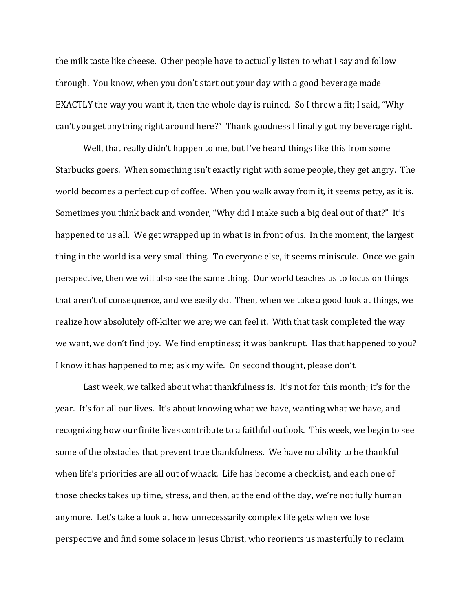the milk taste like cheese. Other people have to actually listen to what I say and follow through. You know, when you don't start out your day with a good beverage made EXACTLY the way you want it, then the whole day is ruined. So I threw a fit; I said, "Why can't you get anything right around here?" Thank goodness I finally got my beverage right.

 Well, that really didn't happen to me, but I've heard things like this from some Starbucks goers. When something isn't exactly right with some people, they get angry. The world becomes a perfect cup of coffee. When you walk away from it, it seems petty, as it is. Sometimes you think back and wonder, "Why did I make such a big deal out of that?" It's happened to us all. We get wrapped up in what is in front of us. In the moment, the largest thing in the world is a very small thing. To everyone else, it seems miniscule. Once we gain perspective, then we will also see the same thing. Our world teaches us to focus on things that aren't of consequence, and we easily do. Then, when we take a good look at things, we realize how absolutely off-kilter we are; we can feel it. With that task completed the way we want, we don't find joy. We find emptiness; it was bankrupt. Has that happened to you? I know it has happened to me; ask my wife. On second thought, please don't.

Last week, we talked about what thankfulness is. It's not for this month; it's for the year. It's for all our lives. It's about knowing what we have, wanting what we have, and recognizing how our finite lives contribute to a faithful outlook. This week, we begin to see some of the obstacles that prevent true thankfulness. We have no ability to be thankful when life's priorities are all out of whack. Life has become a checklist, and each one of those checks takes up time, stress, and then, at the end of the day, we're not fully human anymore. Let's take a look at how unnecessarily complex life gets when we lose perspective and find some solace in Jesus Christ, who reorients us masterfully to reclaim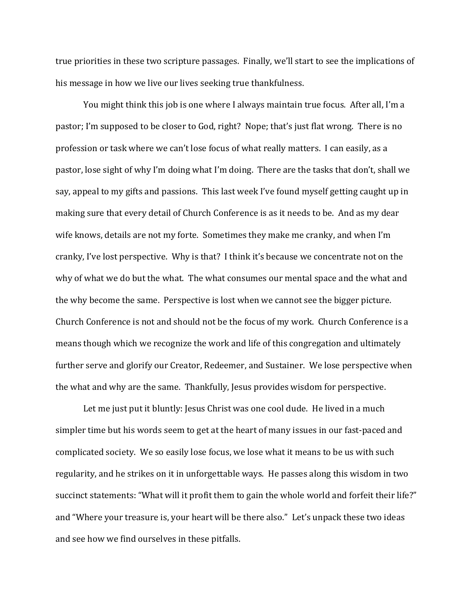true priorities in these two scripture passages. Finally, we'll start to see the implications of his message in how we live our lives seeking true thankfulness.

You might think this job is one where I always maintain true focus. After all, I'm a pastor; I'm supposed to be closer to God, right? Nope; that's just flat wrong. There is no profession or task where we can't lose focus of what really matters. I can easily, as a pastor, lose sight of why I'm doing what I'm doing. There are the tasks that don't, shall we say, appeal to my gifts and passions. This last week I've found myself getting caught up in making sure that every detail of Church Conference is as it needs to be. And as my dear wife knows, details are not my forte. Sometimes they make me cranky, and when I'm cranky, I've lost perspective. Why is that? I think it's because we concentrate not on the why of what we do but the what. The what consumes our mental space and the what and the why become the same. Perspective is lost when we cannot see the bigger picture. Church Conference is not and should not be the focus of my work. Church Conference is a means though which we recognize the work and life of this congregation and ultimately further serve and glorify our Creator, Redeemer, and Sustainer. We lose perspective when the what and why are the same. Thankfully, Jesus provides wisdom for perspective.

Let me just put it bluntly: Jesus Christ was one cool dude. He lived in a much simpler time but his words seem to get at the heart of many issues in our fast-paced and complicated society. We so easily lose focus, we lose what it means to be us with such regularity, and he strikes on it in unforgettable ways. He passes along this wisdom in two succinct statements: "What will it profit them to gain the whole world and forfeit their life?" and "Where your treasure is, your heart will be there also." Let's unpack these two ideas and see how we find ourselves in these pitfalls.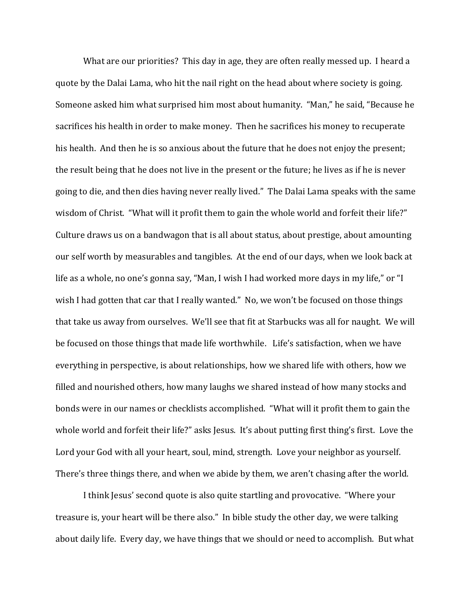What are our priorities? This day in age, they are often really messed up. I heard a quote by the Dalai Lama, who hit the nail right on the head about where society is going. Someone asked him what surprised him most about humanity. "Man," he said, "Because he sacrifices his health in order to make money. Then he sacrifices his money to recuperate his health. And then he is so anxious about the future that he does not enjoy the present; the result being that he does not live in the present or the future; he lives as if he is never going to die, and then dies having never really lived." The Dalai Lama speaks with the same wisdom of Christ. "What will it profit them to gain the whole world and forfeit their life?" Culture draws us on a bandwagon that is all about status, about prestige, about amounting our self worth by measurables and tangibles. At the end of our days, when we look back at life as a whole, no one's gonna say, "Man, I wish I had worked more days in my life," or "I wish I had gotten that car that I really wanted." No, we won't be focused on those things that take us away from ourselves. We'll see that fit at Starbucks was all for naught. We will be focused on those things that made life worthwhile. Life's satisfaction, when we have everything in perspective, is about relationships, how we shared life with others, how we filled and nourished others, how many laughs we shared instead of how many stocks and bonds were in our names or checklists accomplished. "What will it profit them to gain the whole world and forfeit their life?" asks Jesus. It's about putting first thing's first. Love the Lord your God with all your heart, soul, mind, strength. Love your neighbor as yourself. There's three things there, and when we abide by them, we aren't chasing after the world.

I think Jesus' second quote is also quite startling and provocative. "Where your treasure is, your heart will be there also." In bible study the other day, we were talking about daily life. Every day, we have things that we should or need to accomplish. But what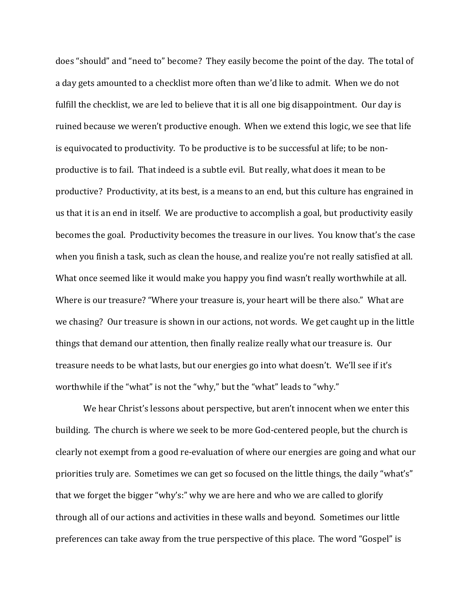does "should" and "need to" become? They easily become the point of the day. The total of a day gets amounted to a checklist more often than we'd like to admit. When we do not fulfill the checklist, we are led to believe that it is all one big disappointment. Our day is ruined because we weren't productive enough. When we extend this logic, we see that life is equivocated to productivity. To be productive is to be successful at life; to be nonproductive is to fail. That indeed is a subtle evil. But really, what does it mean to be productive? Productivity, at its best, is a means to an end, but this culture has engrained in us that it is an end in itself. We are productive to accomplish a goal, but productivity easily becomes the goal. Productivity becomes the treasure in our lives. You know that's the case when you finish a task, such as clean the house, and realize you're not really satisfied at all. What once seemed like it would make you happy you find wasn't really worthwhile at all. Where is our treasure? "Where your treasure is, your heart will be there also." What are we chasing? Our treasure is shown in our actions, not words. We get caught up in the little things that demand our attention, then finally realize really what our treasure is. Our treasure needs to be what lasts, but our energies go into what doesn't. We'll see if it's worthwhile if the "what" is not the "why," but the "what" leads to "why."

We hear Christ's lessons about perspective, but aren't innocent when we enter this building. The church is where we seek to be more God-centered people, but the church is clearly not exempt from a good re-evaluation of where our energies are going and what our priorities truly are. Sometimes we can get so focused on the little things, the daily "what's" that we forget the bigger "why's:" why we are here and who we are called to glorify through all of our actions and activities in these walls and beyond. Sometimes our little preferences can take away from the true perspective of this place. The word "Gospel" is